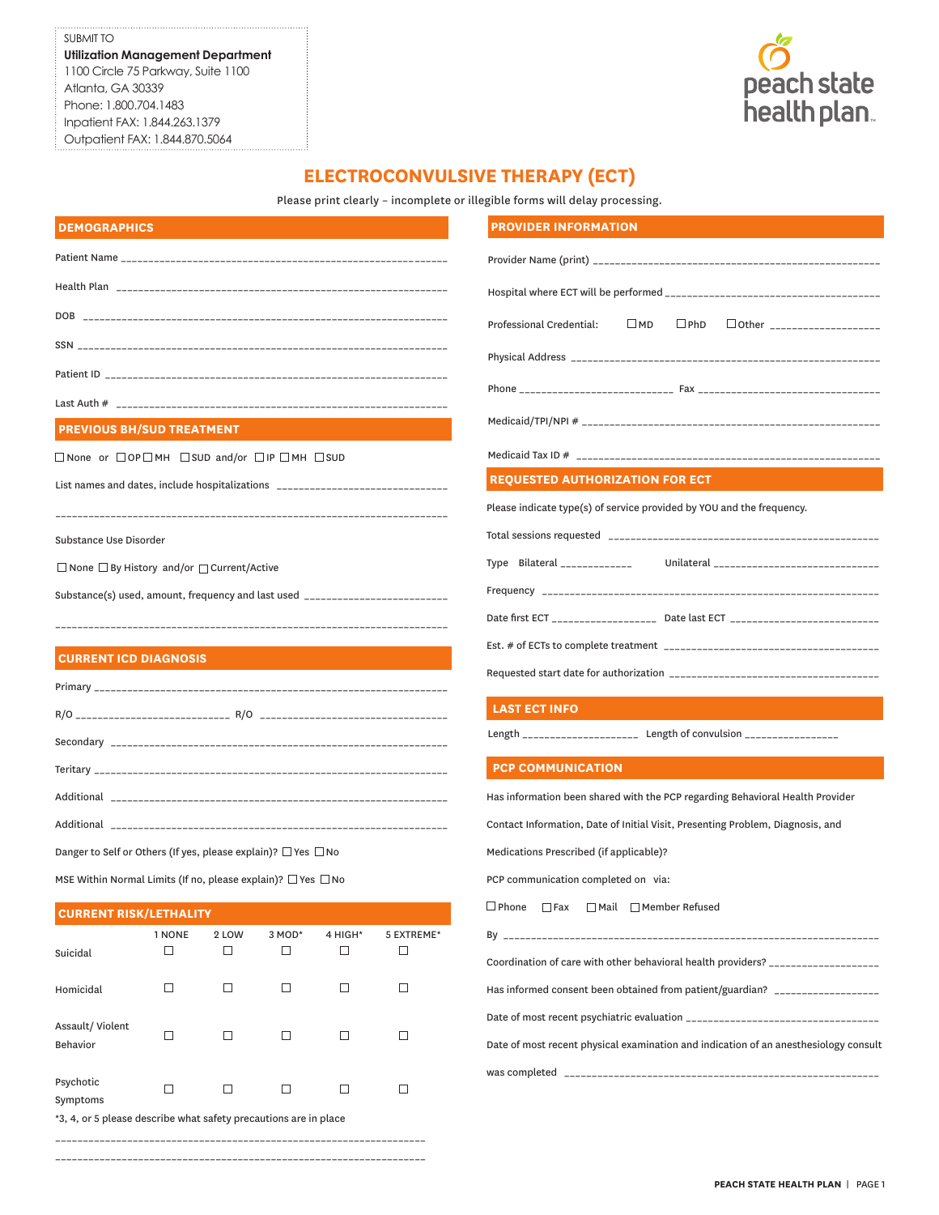## SUBMIT TO **Utilization Management Department** 1100 Circle 75 Parkway, Suite 1100 Atlanta, GA 30339 Phone: 1.800.704.1483 Inpatient FAX: 1.844.263.1379 Outpatient FAX: 1.844.870.5064



# **ELECTROCONVULSIVE THERAPY (ECT)**

Please print clearly – incomplete or illegible forms will delay processing.

| <b>DEMOGRAPHICS</b>              |
|----------------------------------|
|                                  |
|                                  |
|                                  |
|                                  |
|                                  |
|                                  |
| <b>PREVIOUS BH/SUD TREATMENT</b> |

 $\Box$  None or  $\Box$  OP  $\Box$  MH  $\Box$  SUD and/or  $\Box$  IP  $\Box$  MH  $\Box$  SUD

List names and dates, include hospitalizations \_\_\_\_\_\_\_\_\_\_\_\_\_\_\_\_\_\_\_\_\_\_\_\_\_\_\_\_\_\_\_\_\_ \_\_\_\_\_\_\_\_\_\_\_\_\_\_\_\_\_\_\_\_\_\_\_\_\_\_\_\_\_\_\_\_\_\_\_\_\_\_\_\_\_\_\_\_\_\_\_\_\_\_\_\_\_\_\_\_\_\_\_\_\_\_\_\_\_\_\_\_\_\_\_

#### Substance Use Disorder

□ None □ By History and/or □ Current/Active

Substance(s) used, amount, frequency and last used \_\_\_\_\_\_\_\_\_\_\_\_\_\_\_\_\_\_\_\_\_\_\_\_\_\_\_\_\_ \_\_\_\_\_\_\_\_\_\_\_\_\_\_\_\_\_\_\_\_\_\_\_\_\_\_\_\_\_\_\_\_\_\_\_\_\_\_\_\_\_\_\_\_\_\_\_\_\_\_\_\_\_\_\_\_\_\_\_\_\_\_\_\_\_\_\_\_\_\_\_

## **CURRENT ICD DIAGNOSIS**

Danger to Self or Others (If yes, please explain)?  $\Box$  Yes  $\Box$  No

MSE Within Normal Limits (If no, please explain)?  $\Box$  Yes  $\Box$  No

## **CURRENT RISK/LETHALITY**

| Suicidal                                                                                                                                                                                                                       | 1 NONE | 2 LOW | 3 MOD* | 4 HIGH* | 5 EXTREME* |
|--------------------------------------------------------------------------------------------------------------------------------------------------------------------------------------------------------------------------------|--------|-------|--------|---------|------------|
| Homicidal                                                                                                                                                                                                                      | ⊔      |       | l 1    |         |            |
| Assault/Violent<br><b>Behavior</b>                                                                                                                                                                                             | ΙI     |       | ΙI     |         |            |
| Psychotic<br>Symptoms                                                                                                                                                                                                          | ΙI     |       |        |         |            |
| to the surface of the continuation of the constant in the second continue of the second second second second second second second second second second second second second second second second second second second second s |        |       |        |         |            |

\*3, 4, or 5 please describe what safety precautions are in place

\_\_\_\_\_\_\_\_\_\_\_\_\_\_\_\_\_\_\_\_\_\_\_\_\_\_\_\_\_\_\_\_\_\_\_\_\_\_\_\_\_\_\_\_\_\_\_\_\_\_\_\_\_\_\_\_\_\_\_\_\_\_\_\_\_\_\_

\_\_\_\_\_\_\_\_\_\_\_\_\_\_\_\_\_\_\_\_\_\_\_\_\_\_\_\_\_\_\_\_\_\_\_\_\_\_\_\_\_\_\_\_\_\_\_\_\_\_\_\_\_\_\_\_\_\_\_\_\_\_\_\_\_\_\_

### **PROVIDER INFORMATION**

|                                                                       |  | Professional Credential: □ MD □ PhD □ Other ___________________                  |
|-----------------------------------------------------------------------|--|----------------------------------------------------------------------------------|
|                                                                       |  |                                                                                  |
|                                                                       |  |                                                                                  |
|                                                                       |  |                                                                                  |
|                                                                       |  |                                                                                  |
| <b>REQUESTED AUTHORIZATION FOR ECT</b>                                |  |                                                                                  |
| Please indicate type(s) of service provided by YOU and the frequency. |  |                                                                                  |
|                                                                       |  |                                                                                  |
|                                                                       |  |                                                                                  |
|                                                                       |  |                                                                                  |
|                                                                       |  | Date first ECT _____________________ Date last ECT _____________________________ |
|                                                                       |  |                                                                                  |

Requested start date for authorization \_\_\_\_\_\_\_\_\_\_\_\_\_\_\_\_\_\_\_\_\_\_\_\_\_\_\_\_\_\_\_\_\_\_\_\_\_\_

## **LAST ECT INFO**

Length \_\_\_\_\_\_\_\_\_\_\_\_\_\_\_\_\_\_\_\_\_\_\_ Length of convulsion \_\_\_\_\_\_\_\_\_\_\_\_\_\_\_\_\_\_

#### **PCP COMMUNICATION**

|  | Has information been shared with the PCP regarding Behavioral Health Provider |
|--|-------------------------------------------------------------------------------|
|--|-------------------------------------------------------------------------------|

Contact Information, Date of Initial Visit, Presenting Problem, Diagnosis, and

Medications Prescribed (if applicable)?

PCP communication completed on via:

□Phone □Fax □Mail □Member Refused

| Coordination of care with other behavioral health providers? ___________________     |
|--------------------------------------------------------------------------------------|
| Has informed consent been obtained from patient/guardian? ______________________     |
|                                                                                      |
| Date of most recent physical examination and indication of an anesthesiology consult |
|                                                                                      |